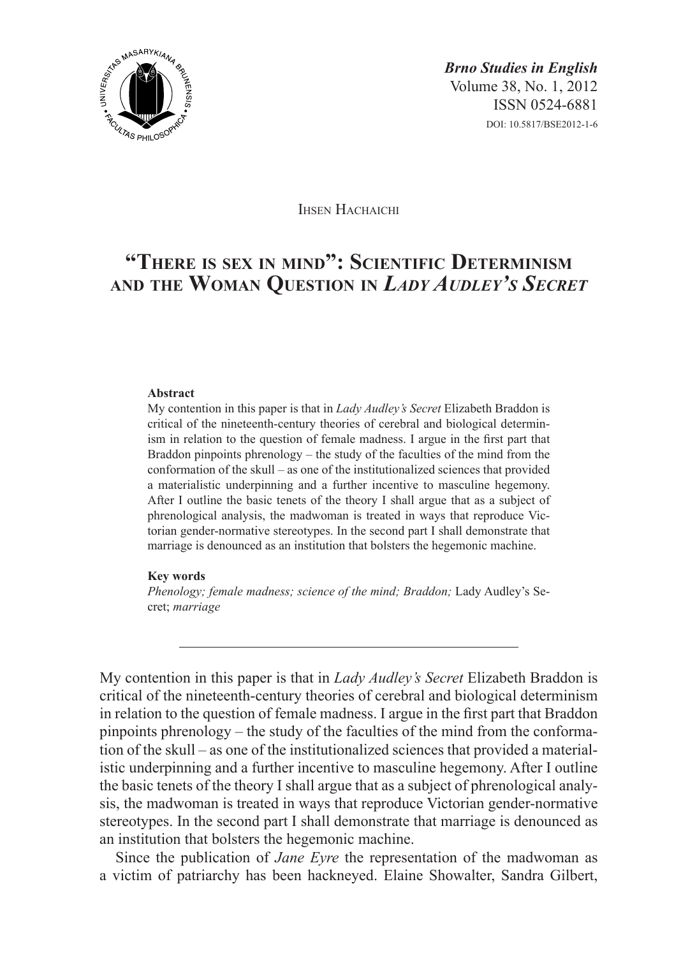

*Brno Studies in English* Volume 38, No. 1, 2012 ISSN 0524-6881 DOI: 10.5817/BSE2012-1-6

Ihsen Hachaichi

# **"There is sex in mind": Scientific Determinism and the Woman Question in** *Lady Audley's Secret*

#### **Abstract**

My contention in this paper is that in *Lady Audley's Secret* Elizabeth Braddon is critical of the nineteenth-century theories of cerebral and biological determinism in relation to the question of female madness. I argue in the first part that Braddon pinpoints phrenology – the study of the faculties of the mind from the conformation of the skull – as one of the institutionalized sciences that provided a materialistic underpinning and a further incentive to masculine hegemony. After I outline the basic tenets of the theory I shall argue that as a subject of phrenological analysis, the madwoman is treated in ways that reproduce Victorian gender-normative stereotypes. In the second part I shall demonstrate that marriage is denounced as an institution that bolsters the hegemonic machine.

#### **Key words**

*Phenology; female madness; science of the mind; Braddon; Lady Audley's Se*cret; *marriage*

My contention in this paper is that in *Lady Audley's Secret* Elizabeth Braddon is critical of the nineteenth-century theories of cerebral and biological determinism in relation to the question of female madness. I argue in the first part that Braddon pinpoints phrenology – the study of the faculties of the mind from the conformation of the skull – as one of the institutionalized sciences that provided a materialistic underpinning and a further incentive to masculine hegemony. After I outline the basic tenets of the theory I shall argue that as a subject of phrenological analysis, the madwoman is treated in ways that reproduce Victorian gender-normative stereotypes. In the second part I shall demonstrate that marriage is denounced as an institution that bolsters the hegemonic machine.

Since the publication of *Jane Eyre* the representation of the madwoman as a victim of patriarchy has been hackneyed. Elaine Showalter, Sandra Gilbert,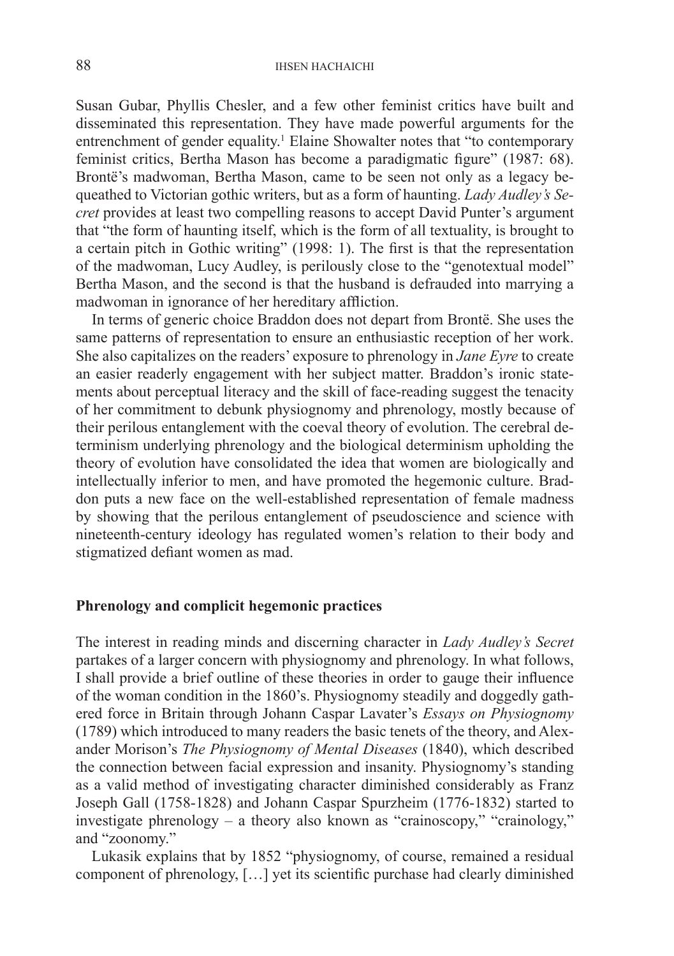Susan Gubar, Phyllis Chesler, and a few other feminist critics have built and disseminated this representation. They have made powerful arguments for the entrenchment of gender equality.<sup>1</sup> Elaine Showalter notes that "to contemporary feminist critics, Bertha Mason has become a paradigmatic figure" (1987: 68). Brontë's madwoman, Bertha Mason, came to be seen not only as a legacy bequeathed to Victorian gothic writers, but as a form of haunting. *Lady Audley's Secret* provides at least two compelling reasons to accept David Punter's argument that "the form of haunting itself, which is the form of all textuality, is brought to a certain pitch in Gothic writing" (1998: 1). The first is that the representation of the madwoman, Lucy Audley, is perilously close to the "genotextual model" Bertha Mason, and the second is that the husband is defrauded into marrying a madwoman in ignorance of her hereditary affliction.

In terms of generic choice Braddon does not depart from Brontë. She uses the same patterns of representation to ensure an enthusiastic reception of her work. She also capitalizes on the readers' exposure to phrenology in *Jane Eyre* to create an easier readerly engagement with her subject matter. Braddon's ironic statements about perceptual literacy and the skill of face-reading suggest the tenacity of her commitment to debunk physiognomy and phrenology, mostly because of their perilous entanglement with the coeval theory of evolution. The cerebral determinism underlying phrenology and the biological determinism upholding the theory of evolution have consolidated the idea that women are biologically and intellectually inferior to men, and have promoted the hegemonic culture. Braddon puts a new face on the well-established representation of female madness by showing that the perilous entanglement of pseudoscience and science with nineteenth-century ideology has regulated women's relation to their body and stigmatized defiant women as mad.

# **Phrenology and complicit hegemonic practices**

The interest in reading minds and discerning character in *Lady Audley's Secret* partakes of a larger concern with physiognomy and phrenology. In what follows, I shall provide a brief outline of these theories in order to gauge their influence of the woman condition in the 1860's. Physiognomy steadily and doggedly gathered force in Britain through Johann Caspar Lavater's *Essays on Physiognomy* (1789) which introduced to many readers the basic tenets of the theory, and Alexander Morison's *The Physiognomy of Mental Diseases* (1840), which described the connection between facial expression and insanity. Physiognomy's standing as a valid method of investigating character diminished considerably as Franz Joseph Gall (1758-1828) and Johann Caspar Spurzheim (1776-1832) started to investigate phrenology – a theory also known as "crainoscopy," "crainology," and "zoonomy."

Lukasik explains that by 1852 "physiognomy, of course, remained a residual component of phrenology, […] yet its scientific purchase had clearly diminished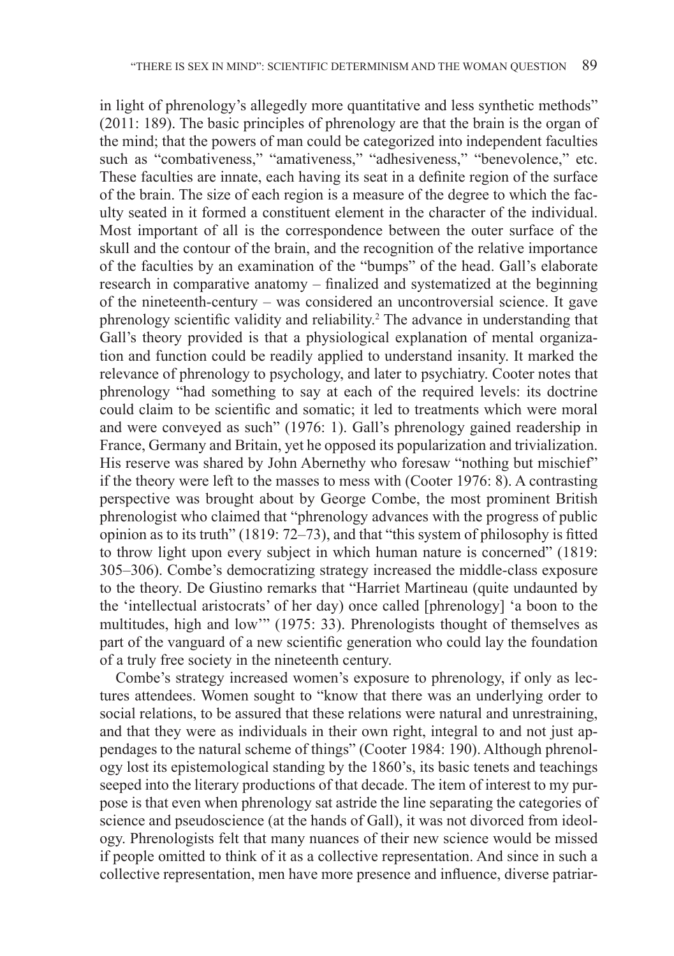in light of phrenology's allegedly more quantitative and less synthetic methods" (2011: 189). The basic principles of phrenology are that the brain is the organ of the mind; that the powers of man could be categorized into independent faculties such as "combativeness," "amativeness," "adhesiveness," "benevolence," etc. These faculties are innate, each having its seat in a definite region of the surface of the brain. The size of each region is a measure of the degree to which the faculty seated in it formed a constituent element in the character of the individual. Most important of all is the correspondence between the outer surface of the skull and the contour of the brain, and the recognition of the relative importance of the faculties by an examination of the "bumps" of the head. Gall's elaborate research in comparative anatomy – finalized and systematized at the beginning of the nineteenth-century – was considered an uncontroversial science. It gave phrenology scientific validity and reliability.<sup>2</sup> The advance in understanding that Gall's theory provided is that a physiological explanation of mental organization and function could be readily applied to understand insanity. It marked the relevance of phrenology to psychology, and later to psychiatry. Cooter notes that phrenology "had something to say at each of the required levels: its doctrine could claim to be scientific and somatic; it led to treatments which were moral and were conveyed as such" (1976: 1). Gall's phrenology gained readership in France, Germany and Britain, yet he opposed its popularization and trivialization. His reserve was shared by John Abernethy who foresaw "nothing but mischief" if the theory were left to the masses to mess with (Cooter 1976: 8). A contrasting perspective was brought about by George Combe, the most prominent British phrenologist who claimed that "phrenology advances with the progress of public opinion as to its truth" (1819: 72–73), and that "this system of philosophy is fitted to throw light upon every subject in which human nature is concerned" (1819: 305–306). Combe's democratizing strategy increased the middle-class exposure to the theory. De Giustino remarks that "Harriet Martineau (quite undaunted by the 'intellectual aristocrats' of her day) once called [phrenology] 'a boon to the multitudes, high and low'" (1975: 33). Phrenologists thought of themselves as part of the vanguard of a new scientific generation who could lay the foundation of a truly free society in the nineteenth century.

Combe's strategy increased women's exposure to phrenology, if only as lectures attendees. Women sought to "know that there was an underlying order to social relations, to be assured that these relations were natural and unrestraining, and that they were as individuals in their own right, integral to and not just appendages to the natural scheme of things" (Cooter 1984: 190). Although phrenology lost its epistemological standing by the 1860's, its basic tenets and teachings seeped into the literary productions of that decade. The item of interest to my purpose is that even when phrenology sat astride the line separating the categories of science and pseudoscience (at the hands of Gall), it was not divorced from ideology. Phrenologists felt that many nuances of their new science would be missed if people omitted to think of it as a collective representation. And since in such a collective representation, men have more presence and influence, diverse patriar-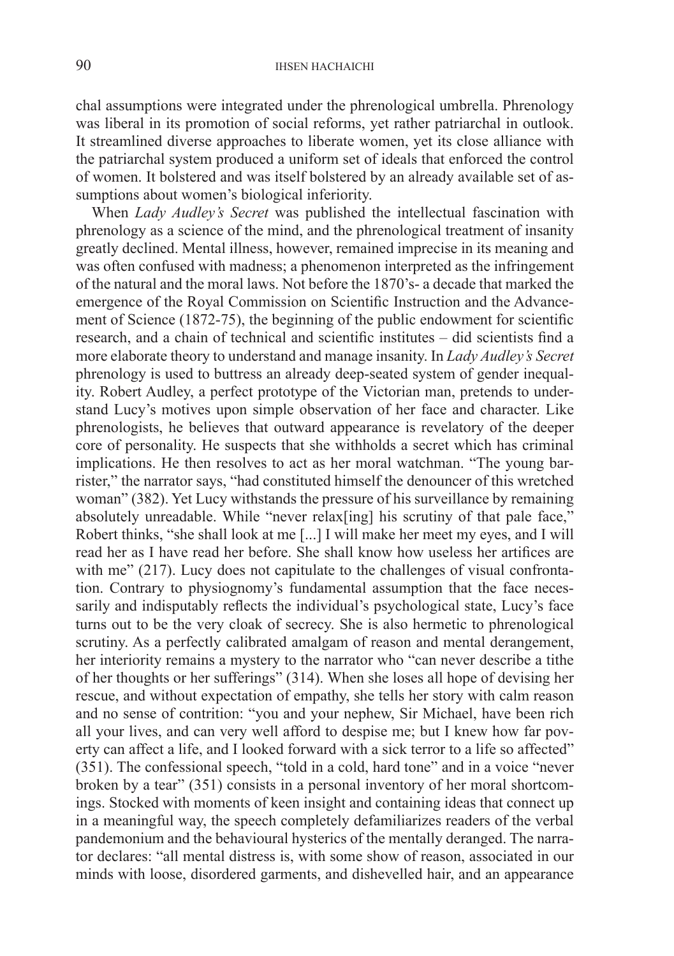chal assumptions were integrated under the phrenological umbrella. Phrenology was liberal in its promotion of social reforms, yet rather patriarchal in outlook. It streamlined diverse approaches to liberate women, yet its close alliance with the patriarchal system produced a uniform set of ideals that enforced the control of women. It bolstered and was itself bolstered by an already available set of assumptions about women's biological inferiority.

When *Lady Audley's Secret* was published the intellectual fascination with phrenology as a science of the mind, and the phrenological treatment of insanity greatly declined. Mental illness, however, remained imprecise in its meaning and was often confused with madness; a phenomenon interpreted as the infringement of the natural and the moral laws. Not before the 1870's- a decade that marked the emergence of the Royal Commission on Scientific Instruction and the Advancement of Science (1872-75), the beginning of the public endowment for scientific research, and a chain of technical and scientific institutes – did scientists find a more elaborate theory to understand and manage insanity. In *Lady Audley's Secret* phrenology is used to buttress an already deep-seated system of gender inequality. Robert Audley, a perfect prototype of the Victorian man, pretends to understand Lucy's motives upon simple observation of her face and character. Like phrenologists, he believes that outward appearance is revelatory of the deeper core of personality. He suspects that she withholds a secret which has criminal implications. He then resolves to act as her moral watchman. "The young barrister," the narrator says, "had constituted himself the denouncer of this wretched woman" (382). Yet Lucy withstands the pressure of his surveillance by remaining absolutely unreadable. While "never relax[ing] his scrutiny of that pale face," Robert thinks, "she shall look at me [...] I will make her meet my eyes, and I will read her as I have read her before. She shall know how useless her artifices are with me" (217). Lucy does not capitulate to the challenges of visual confrontation. Contrary to physiognomy's fundamental assumption that the face necessarily and indisputably reflects the individual's psychological state, Lucy's face turns out to be the very cloak of secrecy. She is also hermetic to phrenological scrutiny. As a perfectly calibrated amalgam of reason and mental derangement, her interiority remains a mystery to the narrator who "can never describe a tithe of her thoughts or her sufferings" (314). When she loses all hope of devising her rescue, and without expectation of empathy, she tells her story with calm reason and no sense of contrition: "you and your nephew, Sir Michael, have been rich all your lives, and can very well afford to despise me; but I knew how far poverty can affect a life, and I looked forward with a sick terror to a life so affected" (351). The confessional speech, "told in a cold, hard tone" and in a voice "never broken by a tear" (351) consists in a personal inventory of her moral shortcomings. Stocked with moments of keen insight and containing ideas that connect up in a meaningful way, the speech completely defamiliarizes readers of the verbal pandemonium and the behavioural hysterics of the mentally deranged. The narrator declares: "all mental distress is, with some show of reason, associated in our minds with loose, disordered garments, and dishevelled hair, and an appearance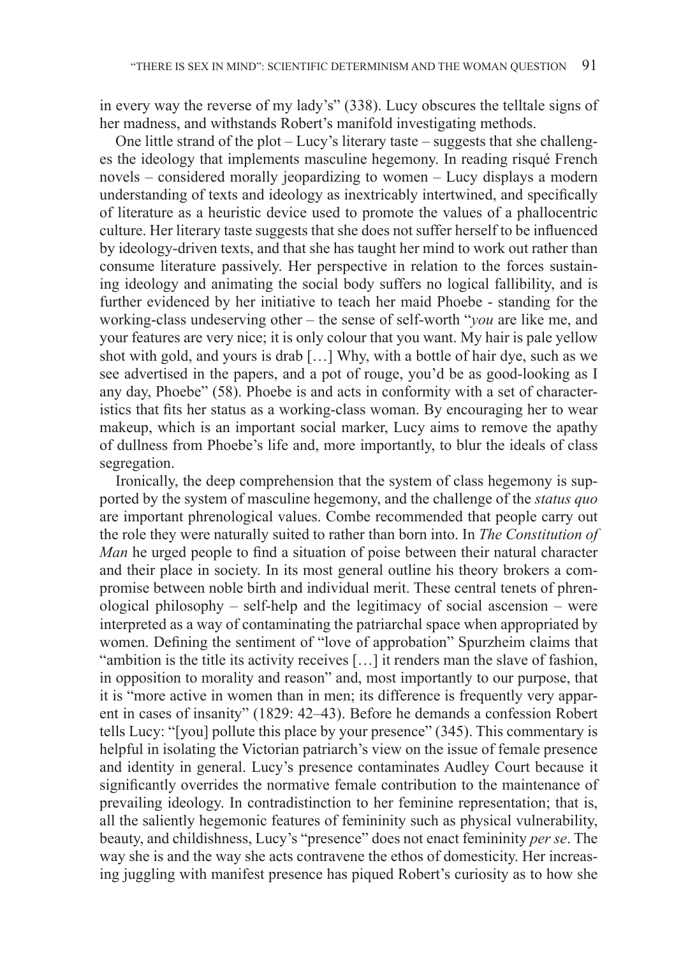in every way the reverse of my lady's" (338). Lucy obscures the telltale signs of her madness, and withstands Robert's manifold investigating methods.

One little strand of the plot – Lucy's literary taste – suggests that she challenges the ideology that implements masculine hegemony. In reading risqué French novels – considered morally jeopardizing to women – Lucy displays a modern understanding of texts and ideology as inextricably intertwined, and specifically of literature as a heuristic device used to promote the values of a phallocentric culture. Her literary taste suggests that she does not suffer herself to be influenced by ideology-driven texts, and that she has taught her mind to work out rather than consume literature passively. Her perspective in relation to the forces sustaining ideology and animating the social body suffers no logical fallibility, and is further evidenced by her initiative to teach her maid Phoebe - standing for the working-class undeserving other – the sense of self-worth "*you* are like me, and your features are very nice; it is only colour that you want. My hair is pale yellow shot with gold, and yours is drab […] Why, with a bottle of hair dye, such as we see advertised in the papers, and a pot of rouge, you'd be as good-looking as I any day, Phoebe" (58). Phoebe is and acts in conformity with a set of characteristics that fits her status as a working-class woman. By encouraging her to wear makeup, which is an important social marker, Lucy aims to remove the apathy of dullness from Phoebe's life and, more importantly, to blur the ideals of class segregation.

Ironically, the deep comprehension that the system of class hegemony is supported by the system of masculine hegemony, and the challenge of the *status quo* are important phrenological values. Combe recommended that people carry out the role they were naturally suited to rather than born into. In *The Constitution of Man* he urged people to find a situation of poise between their natural character and their place in society. In its most general outline his theory brokers a compromise between noble birth and individual merit. These central tenets of phrenological philosophy – self-help and the legitimacy of social ascension – were interpreted as a way of contaminating the patriarchal space when appropriated by women. Defining the sentiment of "love of approbation" Spurzheim claims that "ambition is the title its activity receives […] it renders man the slave of fashion, in opposition to morality and reason" and, most importantly to our purpose, that it is "more active in women than in men; its difference is frequently very apparent in cases of insanity" (1829: 42–43). Before he demands a confession Robert tells Lucy: "[you] pollute this place by your presence" (345). This commentary is helpful in isolating the Victorian patriarch's view on the issue of female presence and identity in general. Lucy's presence contaminates Audley Court because it significantly overrides the normative female contribution to the maintenance of prevailing ideology. In contradistinction to her feminine representation; that is, all the saliently hegemonic features of femininity such as physical vulnerability, beauty, and childishness, Lucy's "presence" does not enact femininity *per se*. The way she is and the way she acts contravene the ethos of domesticity. Her increasing juggling with manifest presence has piqued Robert's curiosity as to how she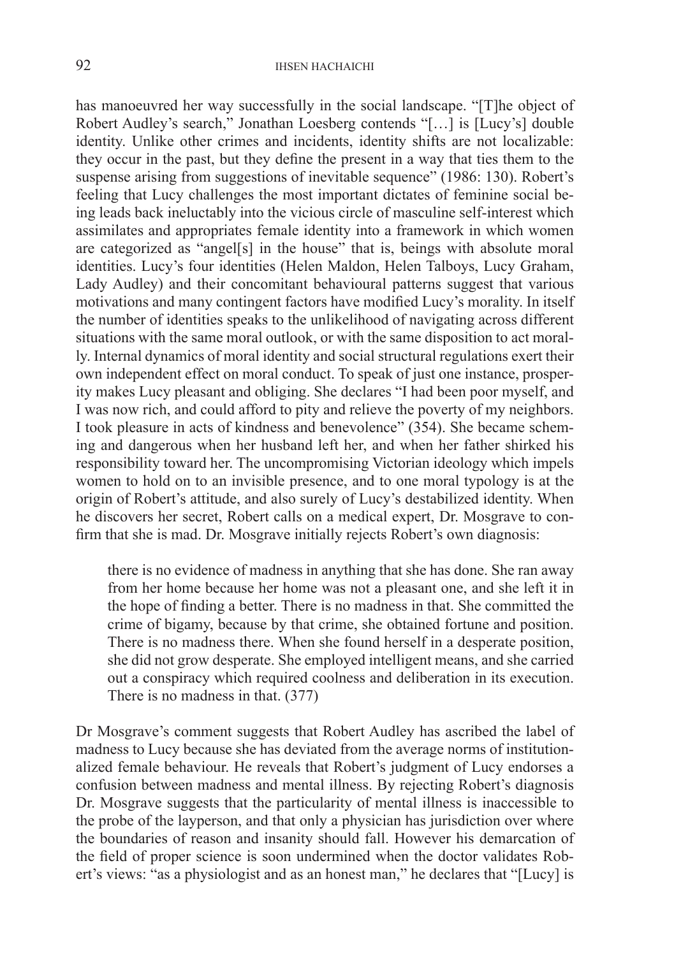## 92 **IHSEN HACHAICHI**

has manoeuvred her way successfully in the social landscape. "[T]he object of Robert Audley's search," Jonathan Loesberg contends "[…] is [Lucy's] double identity. Unlike other crimes and incidents, identity shifts are not localizable: they occur in the past, but they define the present in a way that ties them to the suspense arising from suggestions of inevitable sequence" (1986: 130). Robert's feeling that Lucy challenges the most important dictates of feminine social being leads back ineluctably into the vicious circle of masculine self-interest which assimilates and appropriates female identity into a framework in which women are categorized as "angel[s] in the house" that is, beings with absolute moral identities. Lucy's four identities (Helen Maldon, Helen Talboys, Lucy Graham, Lady Audley) and their concomitant behavioural patterns suggest that various motivations and many contingent factors have modified Lucy's morality. In itself the number of identities speaks to the unlikelihood of navigating across different situations with the same moral outlook, or with the same disposition to act morally. Internal dynamics of moral identity and social structural regulations exert their own independent effect on moral conduct. To speak of just one instance, prosperity makes Lucy pleasant and obliging. She declares "I had been poor myself, and I was now rich, and could afford to pity and relieve the poverty of my neighbors. I took pleasure in acts of kindness and benevolence" (354). She became scheming and dangerous when her husband left her, and when her father shirked his responsibility toward her. The uncompromising Victorian ideology which impels women to hold on to an invisible presence, and to one moral typology is at the origin of Robert's attitude, and also surely of Lucy's destabilized identity. When he discovers her secret, Robert calls on a medical expert, Dr. Mosgrave to confirm that she is mad. Dr. Mosgrave initially rejects Robert's own diagnosis:

there is no evidence of madness in anything that she has done. She ran away from her home because her home was not a pleasant one, and she left it in the hope of finding a better. There is no madness in that. She committed the crime of bigamy, because by that crime, she obtained fortune and position. There is no madness there. When she found herself in a desperate position, she did not grow desperate. She employed intelligent means, and she carried out a conspiracy which required coolness and deliberation in its execution. There is no madness in that. (377)

Dr Mosgrave's comment suggests that Robert Audley has ascribed the label of madness to Lucy because she has deviated from the average norms of institutionalized female behaviour. He reveals that Robert's judgment of Lucy endorses a confusion between madness and mental illness. By rejecting Robert's diagnosis Dr. Mosgrave suggests that the particularity of mental illness is inaccessible to the probe of the layperson, and that only a physician has jurisdiction over where the boundaries of reason and insanity should fall. However his demarcation of the field of proper science is soon undermined when the doctor validates Robert's views: "as a physiologist and as an honest man," he declares that "[Lucy] is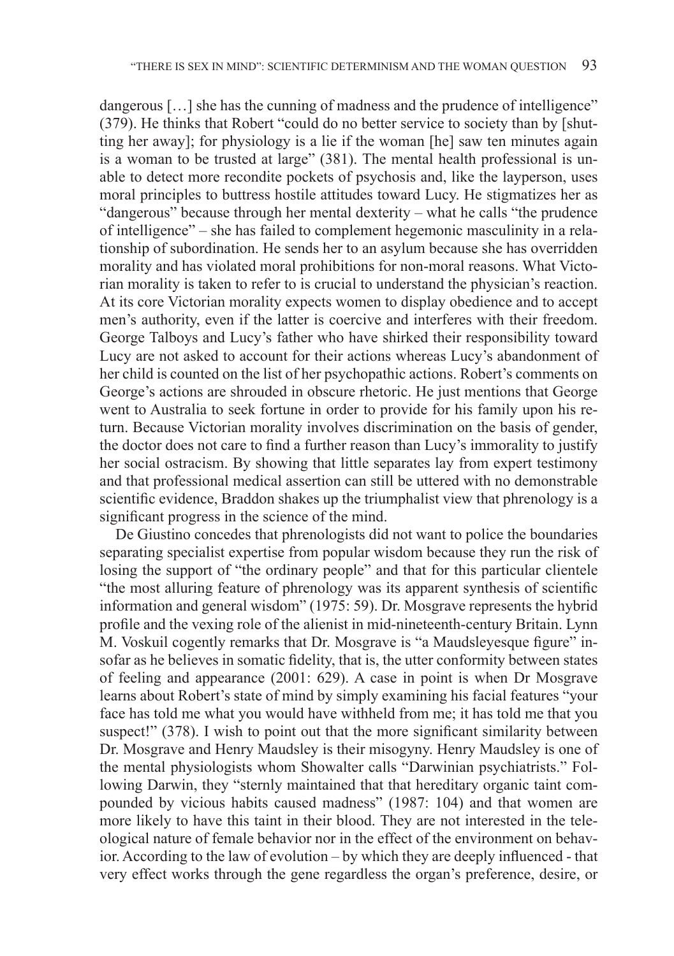dangerous [...] she has the cunning of madness and the prudence of intelligence" (379). He thinks that Robert "could do no better service to society than by [shutting her away]; for physiology is a lie if the woman [he] saw ten minutes again is a woman to be trusted at large" (381). The mental health professional is unable to detect more recondite pockets of psychosis and, like the layperson, uses moral principles to buttress hostile attitudes toward Lucy. He stigmatizes her as "dangerous" because through her mental dexterity – what he calls "the prudence of intelligence" – she has failed to complement hegemonic masculinity in a relationship of subordination. He sends her to an asylum because she has overridden morality and has violated moral prohibitions for non-moral reasons. What Victorian morality is taken to refer to is crucial to understand the physician's reaction. At its core Victorian morality expects women to display obedience and to accept men's authority, even if the latter is coercive and interferes with their freedom. George Talboys and Lucy's father who have shirked their responsibility toward Lucy are not asked to account for their actions whereas Lucy's abandonment of her child is counted on the list of her psychopathic actions. Robert's comments on George's actions are shrouded in obscure rhetoric. He just mentions that George went to Australia to seek fortune in order to provide for his family upon his return. Because Victorian morality involves discrimination on the basis of gender, the doctor does not care to find a further reason than Lucy's immorality to justify her social ostracism. By showing that little separates lay from expert testimony and that professional medical assertion can still be uttered with no demonstrable scientific evidence, Braddon shakes up the triumphalist view that phrenology is a significant progress in the science of the mind.

De Giustino concedes that phrenologists did not want to police the boundaries separating specialist expertise from popular wisdom because they run the risk of losing the support of "the ordinary people" and that for this particular clientele "the most alluring feature of phrenology was its apparent synthesis of scientific information and general wisdom" (1975: 59). Dr. Mosgrave represents the hybrid profile and the vexing role of the alienist in mid-nineteenth-century Britain. Lynn M. Voskuil cogently remarks that Dr. Mosgrave is "a Maudsleyesque figure" insofar as he believes in somatic fidelity, that is, the utter conformity between states of feeling and appearance (2001: 629). A case in point is when Dr Mosgrave learns about Robert's state of mind by simply examining his facial features "your face has told me what you would have withheld from me; it has told me that you suspect!" (378). I wish to point out that the more significant similarity between Dr. Mosgrave and Henry Maudsley is their misogyny. Henry Maudsley is one of the mental physiologists whom Showalter calls "Darwinian psychiatrists." Following Darwin, they "sternly maintained that that hereditary organic taint compounded by vicious habits caused madness" (1987: 104) and that women are more likely to have this taint in their blood. They are not interested in the teleological nature of female behavior nor in the effect of the environment on behavior. According to the law of evolution – by which they are deeply influenced - that very effect works through the gene regardless the organ's preference, desire, or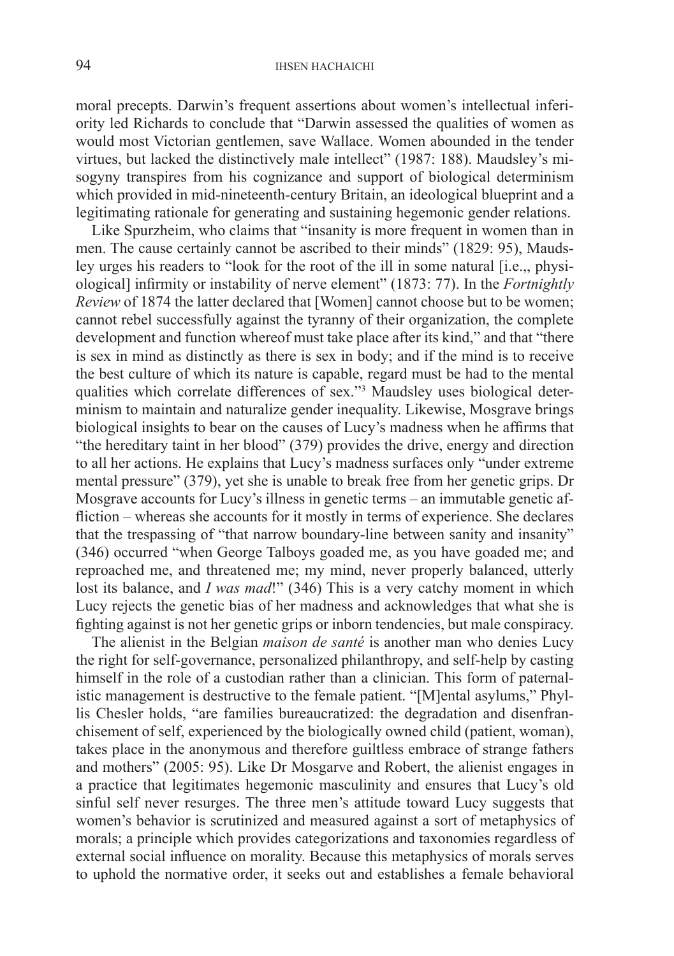moral precepts. Darwin's frequent assertions about women's intellectual inferiority led Richards to conclude that "Darwin assessed the qualities of women as would most Victorian gentlemen, save Wallace. Women abounded in the tender virtues, but lacked the distinctively male intellect" (1987: 188). Maudsley's misogyny transpires from his cognizance and support of biological determinism which provided in mid-nineteenth-century Britain, an ideological blueprint and a legitimating rationale for generating and sustaining hegemonic gender relations.

Like Spurzheim, who claims that "insanity is more frequent in women than in men. The cause certainly cannot be ascribed to their minds" (1829: 95), Maudsley urges his readers to "look for the root of the ill in some natural [i.e.,, physiological] infirmity or instability of nerve element" (1873: 77). In the *Fortnightly Review* of 1874 the latter declared that [Women] cannot choose but to be women; cannot rebel successfully against the tyranny of their organization, the complete development and function whereof must take place after its kind," and that "there is sex in mind as distinctly as there is sex in body; and if the mind is to receive the best culture of which its nature is capable, regard must be had to the mental qualities which correlate differences of sex."<sup>3</sup> Maudsley uses biological determinism to maintain and naturalize gender inequality. Likewise, Mosgrave brings biological insights to bear on the causes of Lucy's madness when he affirms that "the hereditary taint in her blood" (379) provides the drive, energy and direction to all her actions. He explains that Lucy's madness surfaces only "under extreme mental pressure" (379), yet she is unable to break free from her genetic grips. Dr Mosgrave accounts for Lucy's illness in genetic terms – an immutable genetic affliction – whereas she accounts for it mostly in terms of experience. She declares that the trespassing of "that narrow boundary-line between sanity and insanity" (346) occurred "when George Talboys goaded me, as you have goaded me; and reproached me, and threatened me; my mind, never properly balanced, utterly lost its balance, and *I was mad*!" (346) This is a very catchy moment in which Lucy rejects the genetic bias of her madness and acknowledges that what she is fighting against is not her genetic grips or inborn tendencies, but male conspiracy.

The alienist in the Belgian *maison de santé* is another man who denies Lucy the right for self-governance, personalized philanthropy, and self-help by casting himself in the role of a custodian rather than a clinician. This form of paternalistic management is destructive to the female patient. "[M]ental asylums," Phyllis Chesler holds, "are families bureaucratized: the degradation and disenfranchisement of self, experienced by the biologically owned child (patient, woman), takes place in the anonymous and therefore guiltless embrace of strange fathers and mothers" (2005: 95). Like Dr Mosgarve and Robert, the alienist engages in a practice that legitimates hegemonic masculinity and ensures that Lucy's old sinful self never resurges. The three men's attitude toward Lucy suggests that women's behavior is scrutinized and measured against a sort of metaphysics of morals; a principle which provides categorizations and taxonomies regardless of external social influence on morality. Because this metaphysics of morals serves to uphold the normative order, it seeks out and establishes a female behavioral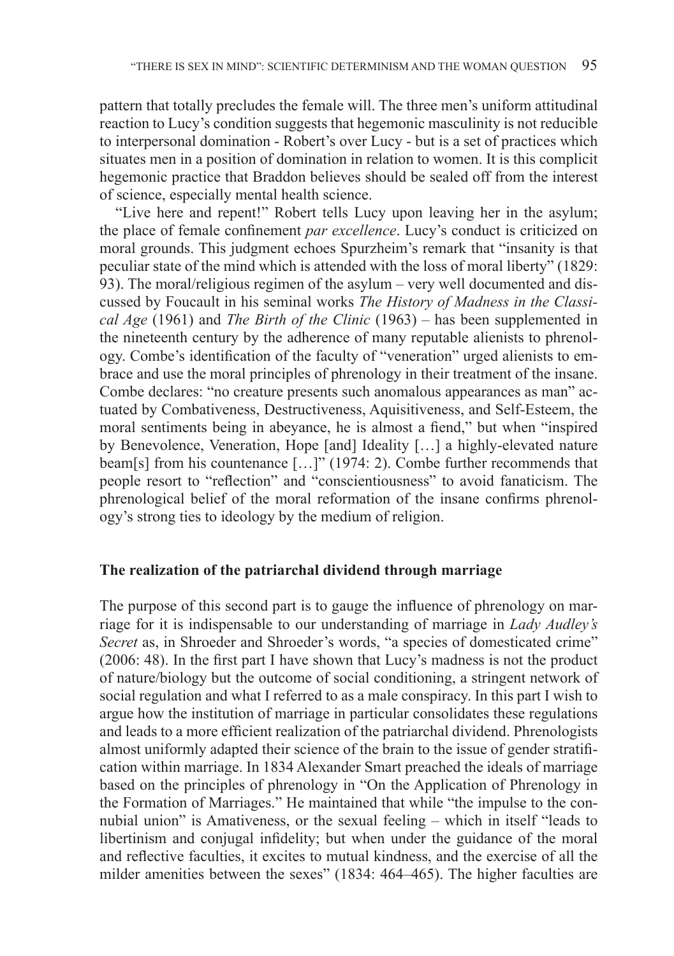pattern that totally precludes the female will. The three men's uniform attitudinal reaction to Lucy's condition suggests that hegemonic masculinity is not reducible to interpersonal domination - Robert's over Lucy - but is a set of practices which situates men in a position of domination in relation to women. It is this complicit hegemonic practice that Braddon believes should be sealed off from the interest of science, especially mental health science.

"Live here and repent!" Robert tells Lucy upon leaving her in the asylum; the place of female confinement *par excellence*. Lucy's conduct is criticized on moral grounds. This judgment echoes Spurzheim's remark that "insanity is that peculiar state of the mind which is attended with the loss of moral liberty" (1829: 93). The moral/religious regimen of the asylum – very well documented and discussed by Foucault in his seminal works *The History of Madness in the Classical Age* (1961) and *The Birth of the Clinic* (1963) – has been supplemented in the nineteenth century by the adherence of many reputable alienists to phrenology. Combe's identification of the faculty of "veneration" urged alienists to embrace and use the moral principles of phrenology in their treatment of the insane. Combe declares: "no creature presents such anomalous appearances as man" actuated by Combativeness, Destructiveness, Aquisitiveness, and Self-Esteem, the moral sentiments being in abeyance, he is almost a fiend," but when "inspired by Benevolence, Veneration, Hope [and] Ideality […] a highly-elevated nature beam[s] from his countenance […]" (1974: 2). Combe further recommends that people resort to "reflection" and "conscientiousness" to avoid fanaticism. The phrenological belief of the moral reformation of the insane confirms phrenology's strong ties to ideology by the medium of religion.

## **The realization of the patriarchal dividend through marriage**

The purpose of this second part is to gauge the influence of phrenology on marriage for it is indispensable to our understanding of marriage in *Lady Audley's Secret* as, in Shroeder and Shroeder's words, "a species of domesticated crime" (2006: 48). In the first part I have shown that Lucy's madness is not the product of nature/biology but the outcome of social conditioning, a stringent network of social regulation and what I referred to as a male conspiracy. In this part I wish to argue how the institution of marriage in particular consolidates these regulations and leads to a more efficient realization of the patriarchal dividend. Phrenologists almost uniformly adapted their science of the brain to the issue of gender stratification within marriage. In 1834 Alexander Smart preached the ideals of marriage based on the principles of phrenology in "On the Application of Phrenology in the Formation of Marriages." He maintained that while "the impulse to the connubial union" is Amativeness, or the sexual feeling – which in itself "leads to libertinism and conjugal infidelity; but when under the guidance of the moral and reflective faculties, it excites to mutual kindness, and the exercise of all the milder amenities between the sexes" (1834: 464–465). The higher faculties are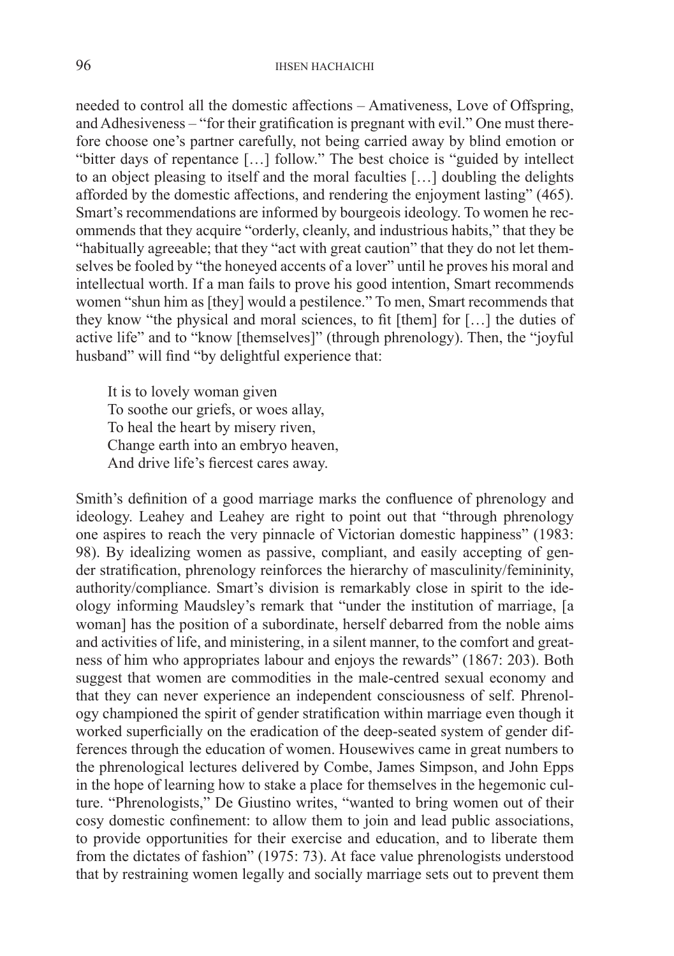needed to control all the domestic affections – Amativeness, Love of Offspring, and Adhesiveness – "for their gratification is pregnant with evil." One must therefore choose one's partner carefully, not being carried away by blind emotion or "bitter days of repentance […] follow." The best choice is "guided by intellect to an object pleasing to itself and the moral faculties […] doubling the delights afforded by the domestic affections, and rendering the enjoyment lasting" (465). Smart's recommendations are informed by bourgeois ideology. To women he recommends that they acquire "orderly, cleanly, and industrious habits," that they be "habitually agreeable; that they "act with great caution" that they do not let themselves be fooled by "the honeyed accents of a lover" until he proves his moral and intellectual worth. If a man fails to prove his good intention, Smart recommends women "shun him as [they] would a pestilence." To men, Smart recommends that they know "the physical and moral sciences, to fit [them] for […] the duties of active life" and to "know [themselves]" (through phrenology). Then, the "joyful husband" will find "by delightful experience that:

It is to lovely woman given To soothe our griefs, or woes allay, To heal the heart by misery riven, Change earth into an embryo heaven, And drive life's fiercest cares away.

Smith's definition of a good marriage marks the confluence of phrenology and ideology. Leahey and Leahey are right to point out that "through phrenology one aspires to reach the very pinnacle of Victorian domestic happiness" (1983: 98). By idealizing women as passive, compliant, and easily accepting of gender stratification, phrenology reinforces the hierarchy of masculinity/femininity, authority/compliance. Smart's division is remarkably close in spirit to the ideology informing Maudsley's remark that "under the institution of marriage, [a woman] has the position of a subordinate, herself debarred from the noble aims and activities of life, and ministering, in a silent manner, to the comfort and greatness of him who appropriates labour and enjoys the rewards" (1867: 203). Both suggest that women are commodities in the male-centred sexual economy and that they can never experience an independent consciousness of self. Phrenology championed the spirit of gender stratification within marriage even though it worked superficially on the eradication of the deep-seated system of gender differences through the education of women. Housewives came in great numbers to the phrenological lectures delivered by Combe, James Simpson, and John Epps in the hope of learning how to stake a place for themselves in the hegemonic culture. "Phrenologists," De Giustino writes, "wanted to bring women out of their cosy domestic confinement: to allow them to join and lead public associations, to provide opportunities for their exercise and education, and to liberate them from the dictates of fashion" (1975: 73). At face value phrenologists understood that by restraining women legally and socially marriage sets out to prevent them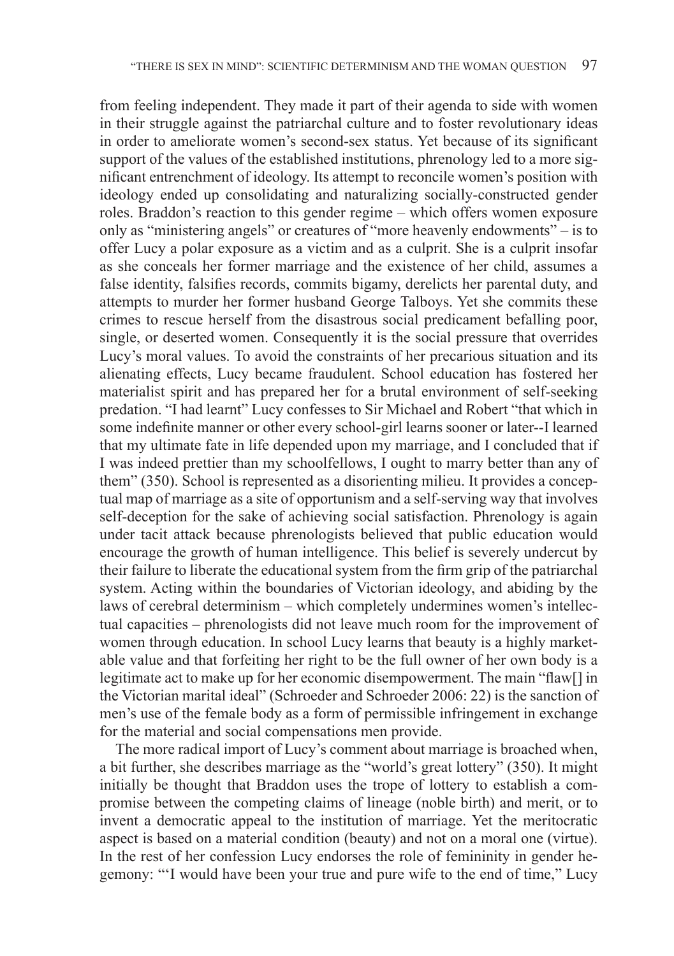from feeling independent. They made it part of their agenda to side with women in their struggle against the patriarchal culture and to foster revolutionary ideas in order to ameliorate women's second-sex status. Yet because of its significant support of the values of the established institutions, phrenology led to a more significant entrenchment of ideology. Its attempt to reconcile women's position with ideology ended up consolidating and naturalizing socially-constructed gender roles. Braddon's reaction to this gender regime – which offers women exposure only as "ministering angels" or creatures of "more heavenly endowments" – is to offer Lucy a polar exposure as a victim and as a culprit. She is a culprit insofar as she conceals her former marriage and the existence of her child, assumes a false identity, falsifies records, commits bigamy, derelicts her parental duty, and attempts to murder her former husband George Talboys. Yet she commits these crimes to rescue herself from the disastrous social predicament befalling poor, single, or deserted women. Consequently it is the social pressure that overrides Lucy's moral values. To avoid the constraints of her precarious situation and its alienating effects, Lucy became fraudulent. School education has fostered her materialist spirit and has prepared her for a brutal environment of self-seeking predation. "I had learnt" Lucy confesses to Sir Michael and Robert "that which in some indefinite manner or other every school-girl learns sooner or later--I learned that my ultimate fate in life depended upon my marriage, and I concluded that if I was indeed prettier than my schoolfellows, I ought to marry better than any of them" (350). School is represented as a disorienting milieu. It provides a conceptual map of marriage as a site of opportunism and a self-serving way that involves self-deception for the sake of achieving social satisfaction. Phrenology is again under tacit attack because phrenologists believed that public education would encourage the growth of human intelligence. This belief is severely undercut by their failure to liberate the educational system from the firm grip of the patriarchal system. Acting within the boundaries of Victorian ideology, and abiding by the laws of cerebral determinism – which completely undermines women's intellectual capacities – phrenologists did not leave much room for the improvement of women through education. In school Lucy learns that beauty is a highly marketable value and that forfeiting her right to be the full owner of her own body is a legitimate act to make up for her economic disempowerment. The main "flaw[] in the Victorian marital ideal" (Schroeder and Schroeder 2006: 22) is the sanction of men's use of the female body as a form of permissible infringement in exchange for the material and social compensations men provide.

The more radical import of Lucy's comment about marriage is broached when, a bit further, she describes marriage as the "world's great lottery" (350). It might initially be thought that Braddon uses the trope of lottery to establish a compromise between the competing claims of lineage (noble birth) and merit, or to invent a democratic appeal to the institution of marriage. Yet the meritocratic aspect is based on a material condition (beauty) and not on a moral one (virtue). In the rest of her confession Lucy endorses the role of femininity in gender hegemony: "'I would have been your true and pure wife to the end of time," Lucy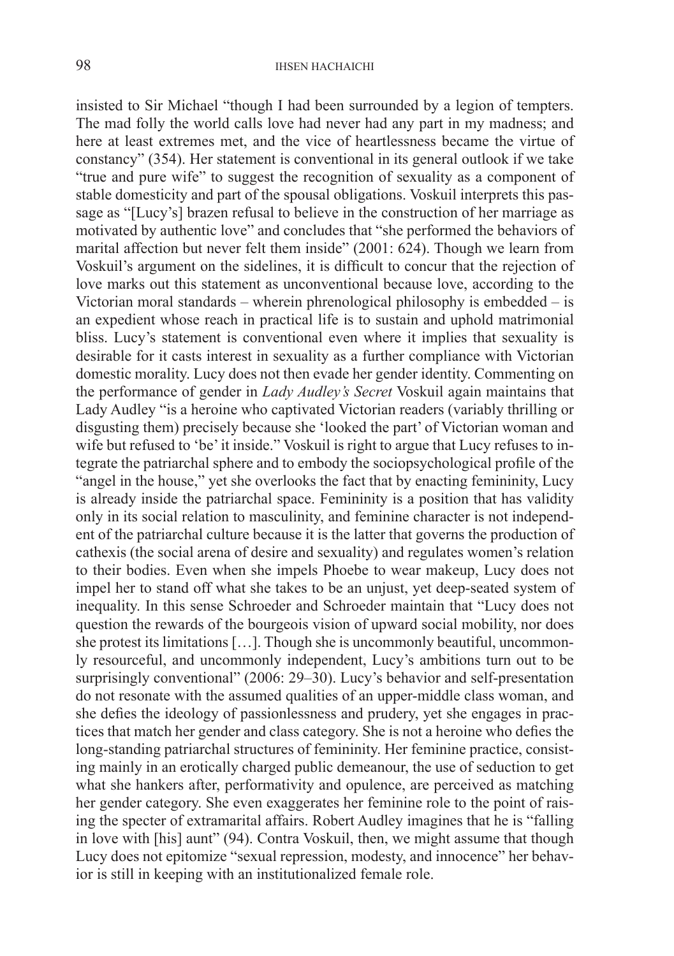insisted to Sir Michael "though I had been surrounded by a legion of tempters. The mad folly the world calls love had never had any part in my madness; and here at least extremes met, and the vice of heartlessness became the virtue of constancy" (354). Her statement is conventional in its general outlook if we take "true and pure wife" to suggest the recognition of sexuality as a component of stable domesticity and part of the spousal obligations. Voskuil interprets this passage as "[Lucy's] brazen refusal to believe in the construction of her marriage as motivated by authentic love" and concludes that "she performed the behaviors of marital affection but never felt them inside" (2001:  $624$ ). Though we learn from Voskuil's argument on the sidelines, it is difficult to concur that the rejection of love marks out this statement as unconventional because love, according to the Victorian moral standards – wherein phrenological philosophy is embedded – is an expedient whose reach in practical life is to sustain and uphold matrimonial bliss. Lucy's statement is conventional even where it implies that sexuality is desirable for it casts interest in sexuality as a further compliance with Victorian domestic morality. Lucy does not then evade her gender identity. Commenting on the performance of gender in *Lady Audley's Secret* Voskuil again maintains that Lady Audley "is a heroine who captivated Victorian readers (variably thrilling or disgusting them) precisely because she 'looked the part' of Victorian woman and wife but refused to 'be' it inside." Voskuil is right to argue that Lucy refuses to integrate the patriarchal sphere and to embody the sociopsychological profile of the "angel in the house," yet she overlooks the fact that by enacting femininity, Lucy is already inside the patriarchal space. Femininity is a position that has validity only in its social relation to masculinity, and feminine character is not independent of the patriarchal culture because it is the latter that governs the production of cathexis (the social arena of desire and sexuality) and regulates women's relation to their bodies. Even when she impels Phoebe to wear makeup, Lucy does not impel her to stand off what she takes to be an unjust, yet deep-seated system of inequality. In this sense Schroeder and Schroeder maintain that "Lucy does not question the rewards of the bourgeois vision of upward social mobility, nor does she protest its limitations […]. Though she is uncommonly beautiful, uncommonly resourceful, and uncommonly independent, Lucy's ambitions turn out to be surprisingly conventional" (2006: 29–30). Lucy's behavior and self-presentation do not resonate with the assumed qualities of an upper-middle class woman, and she defies the ideology of passionlessness and prudery, yet she engages in practices that match her gender and class category. She is not a heroine who defies the long-standing patriarchal structures of femininity. Her feminine practice, consisting mainly in an erotically charged public demeanour, the use of seduction to get what she hankers after, performativity and opulence, are perceived as matching her gender category. She even exaggerates her feminine role to the point of raising the specter of extramarital affairs. Robert Audley imagines that he is "falling in love with [his] aunt" (94). Contra Voskuil, then, we might assume that though Lucy does not epitomize "sexual repression, modesty, and innocence" her behavior is still in keeping with an institutionalized female role.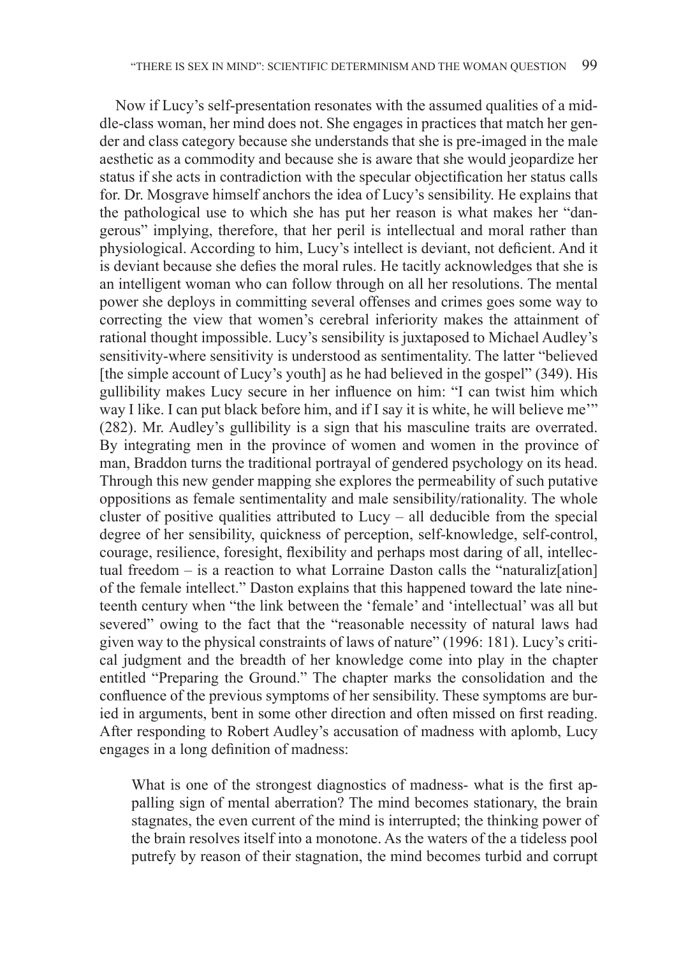Now if Lucy's self-presentation resonates with the assumed qualities of a middle-class woman, her mind does not. She engages in practices that match her gender and class category because she understands that she is pre-imaged in the male aesthetic as a commodity and because she is aware that she would jeopardize her status if she acts in contradiction with the specular objectification her status calls for. Dr. Mosgrave himself anchors the idea of Lucy's sensibility. He explains that the pathological use to which she has put her reason is what makes her "dangerous" implying, therefore, that her peril is intellectual and moral rather than physiological. According to him, Lucy's intellect is deviant, not deficient. And it is deviant because she defies the moral rules. He tacitly acknowledges that she is an intelligent woman who can follow through on all her resolutions. The mental power she deploys in committing several offenses and crimes goes some way to correcting the view that women's cerebral inferiority makes the attainment of rational thought impossible. Lucy's sensibility is juxtaposed to Michael Audley's sensitivity-where sensitivity is understood as sentimentality. The latter "believed [the simple account of Lucy's youth] as he had believed in the gospel" (349). His gullibility makes Lucy secure in her influence on him: "I can twist him which way I like. I can put black before him, and if I say it is white, he will believe me'" (282). Mr. Audley's gullibility is a sign that his masculine traits are overrated. By integrating men in the province of women and women in the province of man, Braddon turns the traditional portrayal of gendered psychology on its head. Through this new gender mapping she explores the permeability of such putative oppositions as female sentimentality and male sensibility/rationality. The whole cluster of positive qualities attributed to  $Lucy - all$  deducible from the special degree of her sensibility, quickness of perception, self-knowledge, self-control, courage, resilience, foresight, flexibility and perhaps most daring of all, intellectual freedom  $-$  is a reaction to what Lorraine Daston calls the "naturaliz[ation] of the female intellect." Daston explains that this happened toward the late nineteenth century when "the link between the 'female' and 'intellectual' was all but severed" owing to the fact that the "reasonable necessity of natural laws had given way to the physical constraints of laws of nature" (1996: 181). Lucy's critical judgment and the breadth of her knowledge come into play in the chapter entitled "Preparing the Ground." The chapter marks the consolidation and the confluence of the previous symptoms of her sensibility. These symptoms are buried in arguments, bent in some other direction and often missed on first reading. After responding to Robert Audley's accusation of madness with aplomb, Lucy engages in a long definition of madness:

What is one of the strongest diagnostics of madness- what is the first appalling sign of mental aberration? The mind becomes stationary, the brain stagnates, the even current of the mind is interrupted; the thinking power of the brain resolves itself into a monotone. As the waters of the a tideless pool putrefy by reason of their stagnation, the mind becomes turbid and corrupt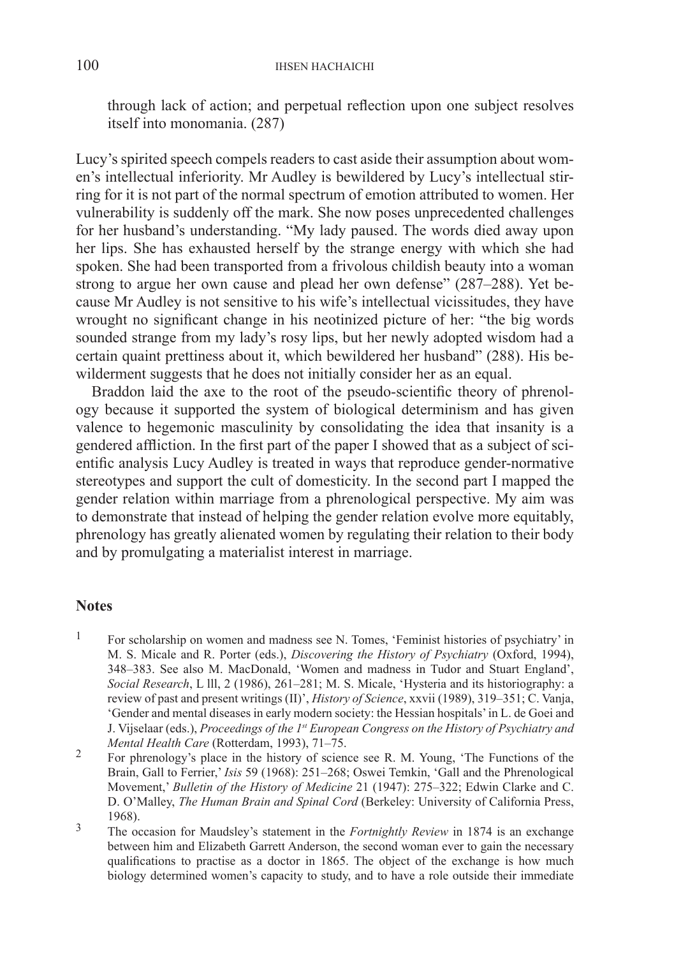through lack of action; and perpetual reflection upon one subject resolves itself into monomania. (287)

Lucy's spirited speech compels readers to cast aside their assumption about women's intellectual inferiority. Mr Audley is bewildered by Lucy's intellectual stirring for it is not part of the normal spectrum of emotion attributed to women. Her vulnerability is suddenly off the mark. She now poses unprecedented challenges for her husband's understanding. "My lady paused. The words died away upon her lips. She has exhausted herself by the strange energy with which she had spoken. She had been transported from a frivolous childish beauty into a woman strong to argue her own cause and plead her own defense" (287–288). Yet because Mr Audley is not sensitive to his wife's intellectual vicissitudes, they have wrought no significant change in his neotinized picture of her: "the big words sounded strange from my lady's rosy lips, but her newly adopted wisdom had a certain quaint prettiness about it, which bewildered her husband" (288). His bewilderment suggests that he does not initially consider her as an equal.

Braddon laid the axe to the root of the pseudo-scientific theory of phrenology because it supported the system of biological determinism and has given valence to hegemonic masculinity by consolidating the idea that insanity is a gendered affliction. In the first part of the paper I showed that as a subject of scientific analysis Lucy Audley is treated in ways that reproduce gender-normative stereotypes and support the cult of domesticity. In the second part I mapped the gender relation within marriage from a phrenological perspective. My aim was to demonstrate that instead of helping the gender relation evolve more equitably, phrenology has greatly alienated women by regulating their relation to their body and by promulgating a materialist interest in marriage.

## **Notes**

- <sup>1</sup> For scholarship on women and madness see N. Tomes, 'Feminist histories of psychiatry' in M. S. Micale and R. Porter (eds.), *Discovering the History of Psychiatry* (Oxford, 1994), 348–383. See also M. MacDonald, 'Women and madness in Tudor and Stuart England', *Social Research*, L lll, 2 (1986), 261–281; M. S. Micale, 'Hysteria and its historiography: a review of past and present writings (II)', *History of Science*, xxvii (1989), 319–351; C. Vanja, 'Gender and mental diseases in early modern society: the Hessian hospitals' in L. de Goei and J. Vijselaar (eds.), *Proceedings of the 1st European Congress on the History of Psychiatry and Mental Health Care* (Rotterdam, 1993), 71–75.
- <sup>2</sup> For phrenology's place in the history of science see R. M. Young, 'The Functions of the Brain, Gall to Ferrier,' *Isis* 59 (1968): 251–268; Oswei Temkin, 'Gall and the Phrenological Movement,' *Bulletin of the History of Medicine* 21 (1947): 275–322; Edwin Clarke and C. D. O'Malley, *The Human Brain and Spinal Cord* (Berkeley: University of California Press, 1968).
- 3 The occasion for Maudsley's statement in the *Fortnightly Review* in 1874 is an exchange between him and Elizabeth Garrett Anderson, the second woman ever to gain the necessary qualifications to practise as a doctor in 1865. The object of the exchange is how much biology determined women's capacity to study, and to have a role outside their immediate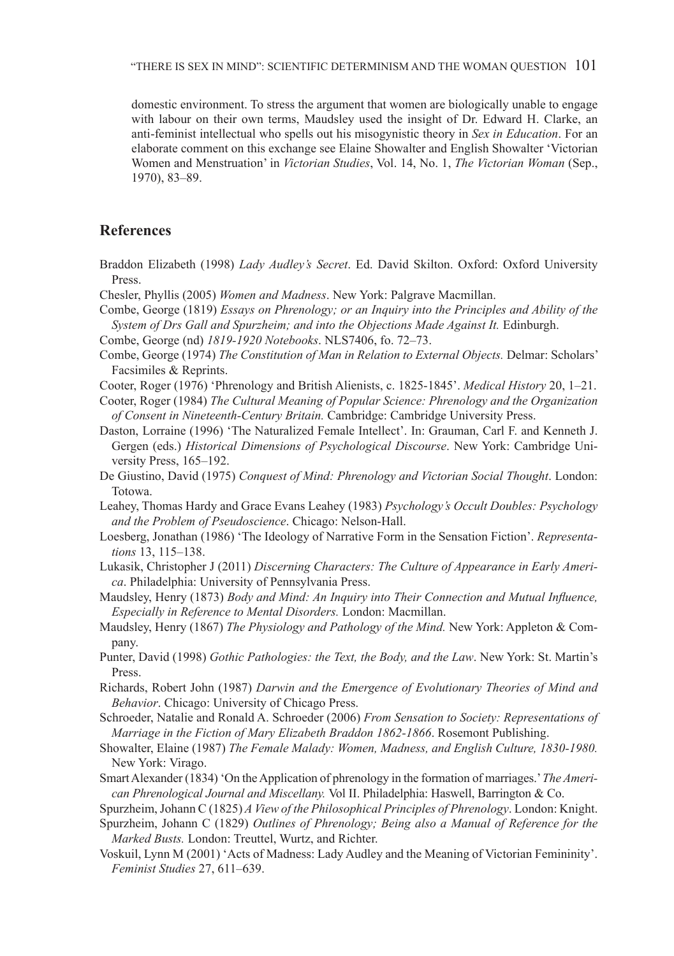domestic environment. To stress the argument that women are biologically unable to engage with labour on their own terms, Maudsley used the insight of Dr. Edward H. Clarke, an anti-feminist intellectual who spells out his misogynistic theory in *Sex in Education*. For an elaborate comment on this exchange see Elaine Showalter and English Showalter 'Victorian Women and Menstruation' in *Victorian Studies*, Vol. 14, No. 1, *The Victorian Woman* (Sep., 1970), 83–89.

## **References**

Braddon Elizabeth (1998) *Lady Audley's Secret*. Ed. David Skilton. Oxford: Oxford University **Press**.

Chesler, Phyllis (2005) *Women and Madness*. New York: Palgrave Macmillan.

- Combe, George (1819) *Essays on Phrenology; or an Inquiry into the Principles and Ability of the*  System of Drs Gall and Spurzheim; and into the Objections Made Against It. Edinburgh.
- Combe, George (nd) *1819-1920 Notebooks*. NLS7406, fo. 72–73.
- Combe, George (1974) *The Constitution of Man in Relation to External Objects.* Delmar: Scholars' Facsimiles & Reprints.
- Cooter, Roger (1976) 'Phrenology and British Alienists, c. 1825-1845'. *Medical History* 20, 1–21.
- Cooter, Roger (1984) *The Cultural Meaning of Popular Science: Phrenology and the Organization of Consent in Nineteenth-Century Britain.* Cambridge: Cambridge University Press.
- Daston, Lorraine (1996) 'The Naturalized Female Intellect'. In: Grauman, Carl F. and Kenneth J. Gergen (eds.) *Historical Dimensions of Psychological Discourse*. New York: Cambridge University Press, 165–192.
- De Giustino, David (1975) *Conquest of Mind: Phrenology and Victorian Social Thought*. London: Totowa.
- Leahey, Thomas Hardy and Grace Evans Leahey (1983) *Psychology's Occult Doubles: Psychology and the Problem of Pseudoscience*. Chicago: Nelson-Hall.
- Loesberg, Jonathan (1986) 'The Ideology of Narrative Form in the Sensation Fiction'. *Representations* 13, 115–138.
- Lukasik, Christopher J (2011) *Discerning Characters: The Culture of Appearance in Early America*. Philadelphia: University of Pennsylvania Press.
- Maudsley, Henry (1873) *Body and Mind: An Inquiry into Their Connection and Mutual Influence, Especially in Reference to Mental Disorders.* London: Macmillan.
- Maudsley, Henry (1867) *The Physiology and Pathology of the Mind.* New York: Appleton & Company.
- Punter, David (1998) *Gothic Pathologies: the Text, the Body, and the Law*. New York: St. Martin's Press.
- Richards, Robert John (1987) *Darwin and the Emergence of Evolutionary Theories of Mind and Behavior*. Chicago: University of Chicago Press.
- Schroeder, Natalie and Ronald A. Schroeder (2006) *From Sensation to Society: Representations of Marriage in the Fiction of Mary Elizabeth Braddon 1862-1866*. Rosemont Publishing.
- Showalter, Elaine (1987) *The Female Malady: Women, Madness, and English Culture, 1830-1980.*  New York: Virago.
- Smart Alexander (1834) 'On the Application of phrenology in the formation of marriages.' *The American Phrenological Journal and Miscellany.* Vol II. Philadelphia: Haswell, Barrington & Co.

Spurzheim, Johann C (1825) *A View of the Philosophical Principles of Phrenology*. London: Knight.

Spurzheim, Johann C (1829) *Outlines of Phrenology; Being also a Manual of Reference for the Marked Busts.* London: Treuttel, Wurtz, and Richter.

Voskuil, Lynn M (2001) 'Acts of Madness: Lady Audley and the Meaning of Victorian Femininity'. *Feminist Studies* 27, 611–639.